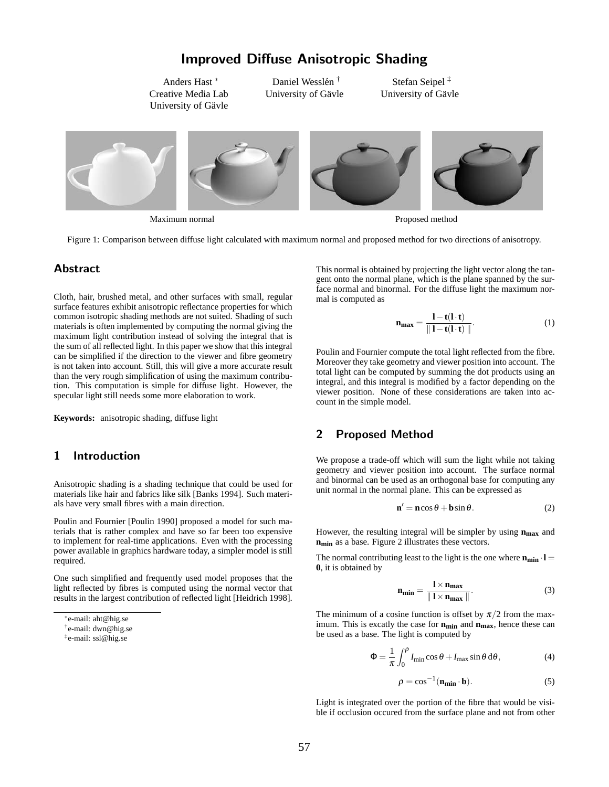# Improved Diffuse Anisotropic Shading

Anders Hast <sup>∗</sup> Creative Media Lab University of Gävle

Daniel Wesslén<sup>†</sup> University of Gävle

Stefan Seipel ‡ University of Gävle



Maximum normal Proposed method

Figure 1: Comparison between diffuse light calculated with maximum normal and proposed method for two directions of anisotropy.

# **Abstract**

Cloth, hair, brushed metal, and other surfaces with small, regular surface features exhibit anisotropic reflectance properties for which common isotropic shading methods are not suited. Shading of such materials is often implemented by computing the normal giving the maximum light contribution instead of solving the integral that is the sum of all reflected light. In this paper we show that this integral can be simplified if the direction to the viewer and fibre geometry is not taken into account. Still, this will give a more accurate result than the very rough simplification of using the maximum contribution. This computation is simple for diffuse light. However, the specular light still needs some more elaboration to work.

**Keywords:** anisotropic shading, diffuse light

### 1 Introduction

Anisotropic shading is a shading technique that could be used for materials like hair and fabrics like silk [Banks 1994]. Such materials have very small fibres with a main direction.

Poulin and Fournier [Poulin 1990] proposed a model for such materials that is rather complex and have so far been too expensive to implement for real-time applications. Even with the processing power available in graphics hardware today, a simpler model is still required.

One such simplified and frequently used model proposes that the light reflected by fibres is computed using the normal vector that results in the largest contribution of reflected light [Heidrich 1998]. This normal is obtained by projecting the light vector along the tangent onto the normal plane, which is the plane spanned by the surface normal and binormal. For the diffuse light the maximum normal is computed as

$$
\mathbf{n}_{\mathbf{max}} = \frac{1 - \mathbf{t}(1 \cdot \mathbf{t})}{\|1 - \mathbf{t}(1 \cdot \mathbf{t})\|}.
$$
 (1)

Poulin and Fournier compute the total light reflected from the fibre. Moreover they take geometry and viewer position into account. The total light can be computed by summing the dot products using an integral, and this integral is modified by a factor depending on the viewer position. None of these considerations are taken into account in the simple model.

#### 2 Proposed Method

We propose a trade-off which will sum the light while not taking geometry and viewer position into account. The surface normal and binormal can be used as an orthogonal base for computing any unit normal in the normal plane. This can be expressed as

$$
\mathbf{n}' = \mathbf{n}\cos\theta + \mathbf{b}\sin\theta. \tag{2}
$$

However, the resulting integral will be simpler by using **nmax** and **nmin** as a base. Figure 2 illustrates these vectors.

The normal contributing least to the light is the one where  $\mathbf{n}_{\min} \cdot \mathbf{l} =$ **0**, it is obtained by

$$
\mathbf{n}_{\min} = \frac{\mathbf{l} \times \mathbf{n}_{\max}}{\|\mathbf{l} \times \mathbf{n}_{\max}\|}.
$$
 (3)

The minimum of a cosine function is offset by  $\pi/2$  from the maximum. This is excatly the case for **n**<sub>min</sub> and **n**<sub>max</sub>, hence these can be used as a base. The light is computed by

$$
\Phi = \frac{1}{\pi} \int_0^{\rho} I_{\text{min}} \cos \theta + I_{\text{max}} \sin \theta \, d\theta, \tag{4}
$$

$$
\rho = \cos^{-1}(\mathbf{n}_{\min} \cdot \mathbf{b}).\tag{5}
$$

Light is integrated over the portion of the fibre that would be visible if occlusion occured from the surface plane and not from other

<sup>∗</sup> e-mail: aht@hig.se

<sup>†</sup> e-mail: dwn@hig.se

<sup>‡</sup> e-mail: ssl@hig.se